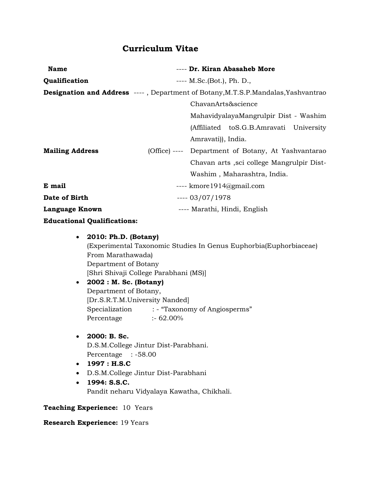# Curriculum Vitae

| <b>Name</b>                        | ---- Dr. Kiran Abasaheb More                                                              |
|------------------------------------|-------------------------------------------------------------------------------------------|
| Qualification                      | $--- M.Sc.(Bot.), Ph. D.,$                                                                |
|                                    | <b>Designation and Address</b> ----, Department of Botany, M.T.S.P. Mandalas, Yashvantrao |
|                                    | ChavanArts&science                                                                        |
|                                    | MahavidyalayaMangrulpir Dist - Washim                                                     |
|                                    | (Affiliated to S.G.B. Amravati University                                                 |
|                                    | Amravati), India.                                                                         |
| <b>Mailing Address</b>             | (Office) ---- Department of Botany, At Yashvantarao                                       |
|                                    | Chavan arts , sci college Mangrulpir Dist-                                                |
|                                    | Washim, Maharashtra, India.                                                               |
| E mail                             | ---- kmore 1914@gmail.com                                                                 |
| Date of Birth                      | $--- 03/07/1978$                                                                          |
| Language Known                     | ---- Marathi, Hindi, English                                                              |
| <b>Educational Qualifications:</b> |                                                                                           |

 2010: Ph.D. (Botany) (Experimental Taxonomic Studies In Genus Euphorbia(Euphorbiaceae) From Marathawada) Department of Botany [Shri Shivaji College Parabhani (MS)] 2002 : M. Sc. (Botany) Department of Botany, [Dr.S.R.T.M.University Nanded] Specialization : - "Taxonomy of Angiosperms" Percentage :- 62.00% • 2000: B. Sc. D.S.M.College Jintur Dist-Parabhani. Percentage : -58.00 1997 : H.S.C D.S.M.College Jintur Dist-Parabhani  $\cdot$  1994: S.S.C. Pandit neharu Vidyalaya Kawatha, Chikhali.

#### Teaching Experience: 10 Years

#### Research Experience: 19 Years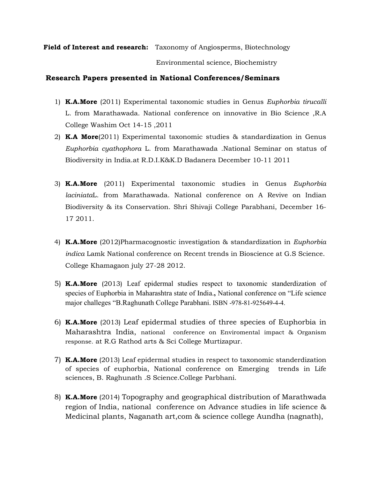Field of Interest and research: Taxonomy of Angiosperms, Biotechnology

Environmental science, Biochemistry

#### Research Papers presented in National Conferences/Seminars

- 1) K.A.More (2011) Experimental taxonomic studies in Genus *Euphorbia tirucalli* L. from Marathawada. National conference on innovative in Bio Science ,R.A College Washim Oct 14-15 ,2011
- 2) **K.A More**(2011) Experimental taxonomic studies  $\&$  standardization in Genus *Euphorbia cyathophora* L. from Marathawada .National Seminar on status of Biodiversity in India.at R.D.I.K&K.D Badanera December 10-11 2011
- 3) K.A.More (2011) Experimental taxonomic studies in Genus *Euphorbia laciniata*L. from Marathawada. National conference on A Revive on Indian Biodiversity & its Conservation. Shri Shivaji College Parabhani, December 16- 17 2011.
- 4) K.A.More (2012)Pharmacognostic investigation & standardization in *Euphorbia indica* Lamk National conference on Recent trends in Bioscience at G.S Science. College Khamagaon july 27-28 2012.
- 5) K.A.More (2013) Leaf epidermal studies respect to taxonomic standerdization of species of Euphorbia in Maharashtra state of India., National conference on "Life science major challeges "B.Raghunath College Parabhani. ISBN -978-81-925649-4-4.
- 6) K.A.More (2013) Leaf epidermal studies of three species of Euphorbia in Maharashtra India, national conference on Enviromental impact & Organism response. at R.G Rathod arts & Sci College Murtizapur.
- 7) K.A.More (2013) Leaf epidermal studies in respect to taxonomic standerdization of species of euphorbia, National conference on Emerging trends in Life sciences, B. Raghunath .S Science.College Parbhani.
- 8) **K.A.More** (2014) Topography and geographical distribution of Marathwada region of India, national conference on Advance studies in life science & Medicinal plants, Naganath art,com & science college Aundha (nagnath),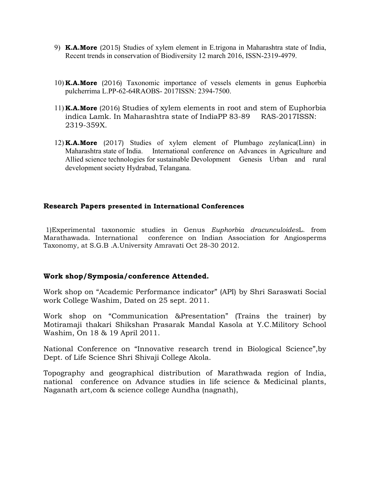- 9) **K.A.More** (2015) Studies of xylem element in E.trigona in Maharashtra state of India, Recent trends in conservation of Biodiversity 12 march 2016, ISSN-2319-4979.
- 10) K.A.More (2016) Taxonomic importance of vessels elements in genus Euphorbia pulcherrima L.PP-62-64RAOBS- 2017ISSN: 2394-7500.
- 11) K.A.More (2016) Studies of xylem elements in root and stem of Euphorbia indica Lamk. In Maharashtra state of IndiaPP 83-89 RAS-2017ISSN: 2319-359X.
- 12) K.A.More (2017) Studies of xylem element of Plumbago zeylanica(Linn) in Maharashtra state of India. International conference on Advances in Agriculture and Allied science technologies for sustainable Devolopment Genesis Urban and rural development society Hydrabad, Telangana.

### Research Papers presented in International Conferences

1)Experimental taxonomic studies in Genus *Euphorbia dracunculoides*L. from Marathawada. International conference on Indian Association for Angiosperms Taxonomy, at S.G.B .A.University Amravati Oct 28-30 2012.

## Work shop/Symposia/conference Attended.

Work shop on "Academic Performance indicator" (API) by Shri Saraswati Social work College Washim, Dated on 25 sept. 2011.

Work shop on "Communication &Presentation" (Trains the trainer) by Motiramaji thakari Shikshan Prasarak Mandal Kasola at Y.C.Militory School Washim, On 18 & 19 April 2011.

National Conference on "Innovative research trend in Biological Science",by Dept. of Life Science Shri Shivaji College Akola.

Topography and geographical distribution of Marathwada region of India, national conference on Advance studies in life science & Medicinal plants, Naganath art,com & science college Aundha (nagnath),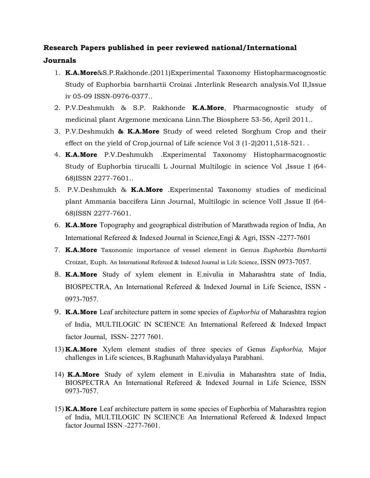# Research Papers published in peer reviewed national/International Journals

- 1. K.A.More&S.P.Rakhonde.(2011)Experimental Taxonomy Histopharmacognostic Study of Euphorbia barnhartii Croizai .Interlink Research analysis.Vol II,Issue iv 05-09 ISSN-0976-0377..
- 2. P.V.Deshmukh & S.P. Rakhonde K.A.More, Pharmacognostic study of medicinal plant Argemone mexicana Linn.The Biosphere 53-56, April 2011..
- 3. P.V.Deshmukh & K.A.More Study of weed releted Sorghum Crop and their effect on the yield of Crop,journal of Life science Vol 3 (1-2)2011,518-521. .
- 4. **K.A.More** P.V.Deshmukh .Experimental Taxonomy Histopharmacognostic Study of Euphorbia tirucalli L Journal Multilogic in science Vol ,Issue I (64- 68)ISSN 2277-7601..
- 5. P.V.Deshmukh & K.A.More .Experimental Taxonomy studies of medicinal plant Ammania baccifera Linn Journal, Multilogic in science VoII ,Issue II (64- 68)ISSN 2277-7601.
- 6. K.A.More Topography and geographical distribution of Marathwada region of India, An International Refereed & Indexed Journal in Science,Engi & Agri, ISSN -2277-7601
- 7. K.A.More Taxonomic importance of vessel element in Genus *Euphorbia Barnhartii* Croizat, Euph. An International Refereed & Indexed Journal in Life Science, ISSN 0973-7057.
- 8. K.A.More Study of xylem element in E.nivulia in Maharashtra state of India, BIOSPECTRA, An International Refereed & Indexed Journal in Life Science, ISSN - 0973-7057.
- 9. K.A.More Leaf architecture pattern in some species of *Euphorbia* of Maharashtra region of India, MULTILOGIC IN SCIENCE An International Refereed & Indexed Impact factor Journal, ISSN- 2277 7601.
- 13) K.A.More Xylem element studies of three species of Genus *Euphorbia,* Major challenges in Life sciences, B.Raghunath Mahavidyalaya Parabhani.
- 14) K.A.More Study of xylem element in E.nivulia in Maharashtra state of India, BIOSPECTRA An International Refereed & Indexed Journal in Life Science, ISSN 0973-7057.
- 15) K.A.More Leaf architecture pattern in some species of Euphorbia of Maharashtra region of India, MULTILOGIC IN SCIENCE An International Refereed & Indexed Impact factor Journal ISSN -2277-7601.